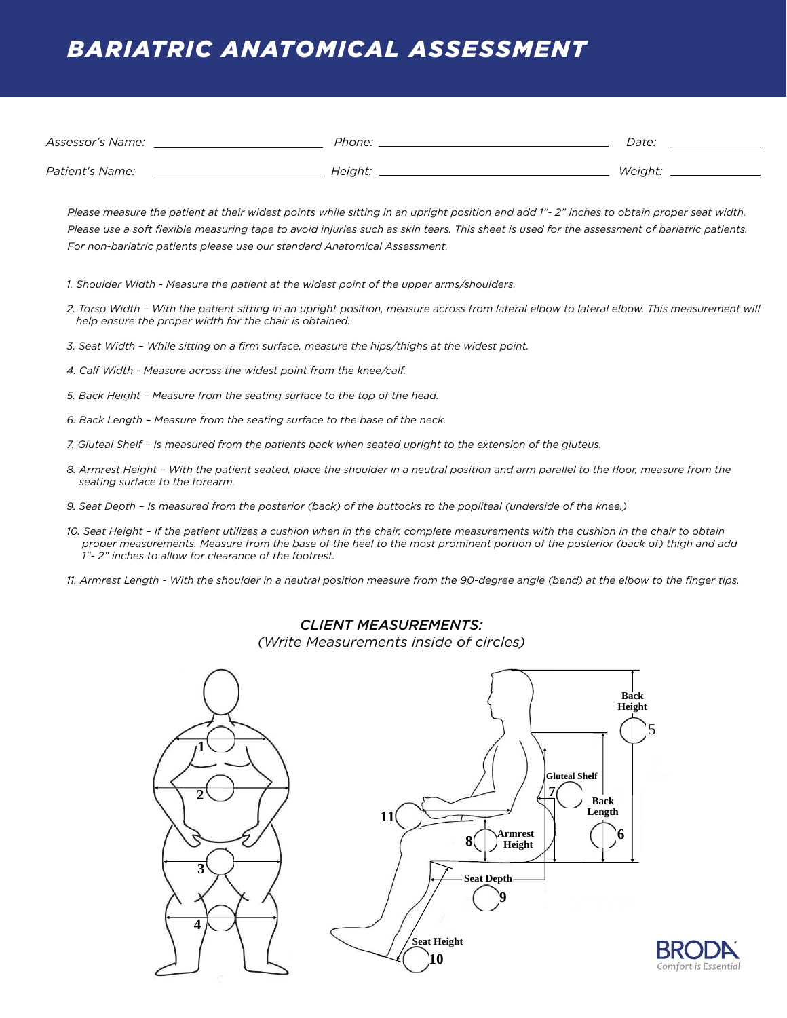## *BARIATRIC ANATOMICAL ASSESSMENT*

| Assessor's Name:       | Phone:  | Date:   |
|------------------------|---------|---------|
| <i>Patient's Name:</i> | Height: | Weight: |

*Please measure the patient at their widest points while sitting in an upright position and add 1"- 2" inches to obtain proper seat width. Please use a soft flexible measuring tape to avoid injuries such as skin tears. This sheet is used for the assessment of bariatric patients. For non-bariatric patients please use our standard Anatomical Assessment.*

- *1. Shoulder Width Measure the patient at the widest point of the upper arms/shoulders.*
- *2. Torso Width With the patient sitting in an upright position, measure across from lateral elbow to lateral elbow. This measurement will help ensure the proper width for the chair is obtained.*
- *3. Seat Width While sitting on a firm surface, measure the hips/thighs at the widest point.*
- *4. Calf Width Measure across the widest point from the knee/calf.*
- *5. Back Height Measure from the seating surface to the top of the head.*
- *6. Back Length Measure from the seating surface to the base of the neck.*
- *7. Gluteal Shelf Is measured from the patients back when seated upright to the extension of the gluteus.*
- *8. Armrest Height With the patient seated, place the shoulder in a neutral position and arm parallel to the floor, measure from the seating surface to the forearm.*
- *9. Seat Depth Is measured from the posterior (back) of the buttocks to the popliteal (underside of the knee.)*
- *10. Seat Height If the patient utilizes a cushion when in the chair, complete measurements with the cushion in the chair to obtain proper measurements. Measure from the base of the heel to the most prominent portion of the posterior (back of) thigh and add 1"- 2" inches to allow for clearance of the footrest.*
- *11. Armrest Length With the shoulder in a neutral position measure from the 90-degree angle (bend) at the elbow to the finger tips.*

## *CLIENT MEASUREMENTS:*

*(Write Measurements inside of circles)*